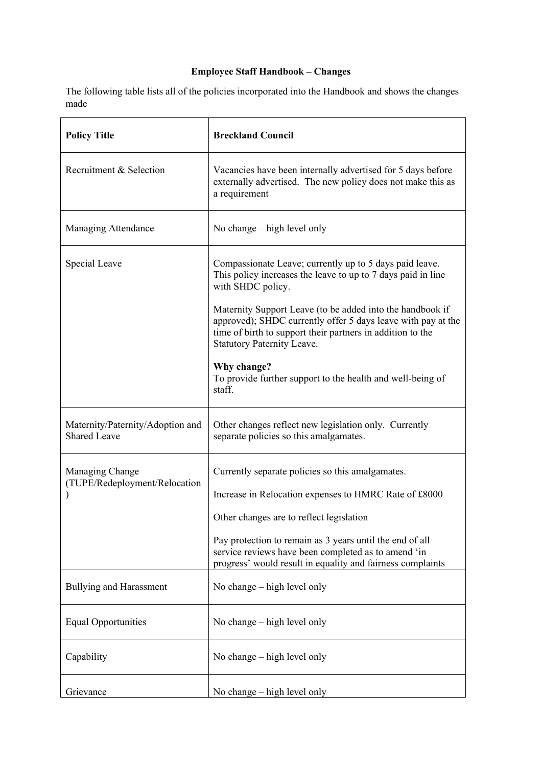## **Employee Staff Handbook – Changes**

The following table lists all of the policies incorporated into the Handbook and shows the changes made

| <b>Policy Title</b>                                     | <b>Breckland Council</b>                                                                                                                                                                                                                                                                                                               |
|---------------------------------------------------------|----------------------------------------------------------------------------------------------------------------------------------------------------------------------------------------------------------------------------------------------------------------------------------------------------------------------------------------|
| Recruitment & Selection                                 | Vacancies have been internally advertised for 5 days before<br>externally advertised. The new policy does not make this as<br>a requirement                                                                                                                                                                                            |
| <b>Managing Attendance</b>                              | No change – high level only                                                                                                                                                                                                                                                                                                            |
| Special Leave                                           | Compassionate Leave; currently up to 5 days paid leave.<br>This policy increases the leave to up to 7 days paid in line<br>with SHDC policy.                                                                                                                                                                                           |
|                                                         | Maternity Support Leave (to be added into the handbook if<br>approved); SHDC currently offer 5 days leave with pay at the<br>time of birth to support their partners in addition to the<br><b>Statutory Paternity Leave.</b>                                                                                                           |
|                                                         | Why change?<br>To provide further support to the health and well-being of<br>staff.                                                                                                                                                                                                                                                    |
| Maternity/Paternity/Adoption and<br><b>Shared Leave</b> | Other changes reflect new legislation only. Currently<br>separate policies so this amalgamates.                                                                                                                                                                                                                                        |
| Managing Change<br>(TUPE/Redeployment/Relocation        | Currently separate policies so this amalgamates.<br>Increase in Relocation expenses to HMRC Rate of £8000<br>Other changes are to reflect legislation<br>Pay protection to remain as 3 years until the end of all<br>service reviews have been completed as to amend 'in<br>progress' would result in equality and fairness complaints |
| <b>Bullying and Harassment</b>                          | No change – high level only                                                                                                                                                                                                                                                                                                            |
| <b>Equal Opportunities</b>                              | No change $-$ high level only                                                                                                                                                                                                                                                                                                          |
| Capability                                              | No change – high level only                                                                                                                                                                                                                                                                                                            |
| Grievance                                               | No change – high level only                                                                                                                                                                                                                                                                                                            |